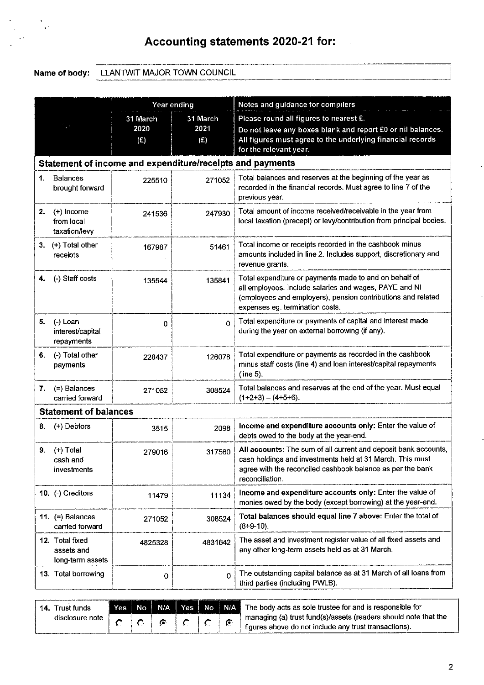# Accounting statements 2020-21 for:

Name of body: LLANTWIT MAJOR TOWN COUNCIL

|                            |                                                   | Year ending |                                                                                      | Notes and guidance for compilers                                                                                                                                                                                    |  |
|----------------------------|---------------------------------------------------|-------------|--------------------------------------------------------------------------------------|---------------------------------------------------------------------------------------------------------------------------------------------------------------------------------------------------------------------|--|
|                            |                                                   | 31 March    | 31 March                                                                             | Please round all figures to nearest £.                                                                                                                                                                              |  |
| 2020<br>2021<br>(E)<br>(E) |                                                   |             |                                                                                      | Do not leave any boxes blank and report £0 or nil balances.                                                                                                                                                         |  |
|                            |                                                   |             | All figures must agree to the underlying financial records<br>for the relevant year. |                                                                                                                                                                                                                     |  |
|                            |                                                   |             |                                                                                      | Statement of income and expenditure/receipts and payments                                                                                                                                                           |  |
|                            |                                                   |             |                                                                                      |                                                                                                                                                                                                                     |  |
| 1.                         | <b>Balances</b><br>brought forward                | 225510      | 271052                                                                               | Total balances and reserves at the beginning of the year as<br>recorded in the financial records. Must agree to line 7 of the<br>previous year.                                                                     |  |
| 2.                         | $(+)$ Income<br>from local<br>taxation/levy       | 241536      | 247930                                                                               | Total amount of income received/receivable in the year from<br>local taxation (precept) or levy/contribution from principal bodies.                                                                                 |  |
| 3.                         | (+) Total other<br>receipts                       | 167987      | 51461                                                                                | Total income or receipts recorded in the cashbook minus<br>amounts included in line 2. Includes support, discretionary and<br>revenue grants.                                                                       |  |
| 4.                         | (-) Staff costs                                   | 135544      | 135841                                                                               | Total expenditure or payments made to and on behalf of<br>all employees. Include salaries and wages, PAYE and NI<br>(employees and employers), pension contributions and related<br>expenses eg. termination costs. |  |
| 5.                         | (-) Loan<br>interest/capital<br>repayments        | 0           | $\Omega$                                                                             | Total expenditure or payments of capital and interest made<br>during the year on external borrowing (if any).                                                                                                       |  |
| 6.                         | (-) Total other<br>payments                       | 228437      | 126078                                                                               | Total expenditure or payments as recorded in the cashbook<br>minus staff costs (line 4) and loan interest/capital repayments<br>(line 5).                                                                           |  |
| 7.                         | (=) Balances<br>carried forward                   | 271052      | 308524                                                                               | Total balances and reserves at the end of the year. Must equal<br>$(1+2+3) - (4+5+6)$ .                                                                                                                             |  |
|                            | <b>Statement of balances</b>                      |             |                                                                                      |                                                                                                                                                                                                                     |  |
| 8.                         | (+) Debtors                                       | 3515        | 2098                                                                                 | Income and expenditure accounts only: Enter the value of<br>debts owed to the body at the year-end.                                                                                                                 |  |
| 9.                         | $(+)$ Total<br>cash ano<br>investments            | 279016      | 317560                                                                               | All accounts: The sum of all current and deposit bank accounts,<br>cash holdings and investments held at 31 March. This must<br>agree with the reconciled cashbook balance as per the bank<br>reconciliation.       |  |
|                            | 10. (-) Creditors                                 | 11479       | 11134                                                                                | Income and expenditure accounts only: Enter the value of<br>monies owed by the body (except borrowing) at the year-end.                                                                                             |  |
|                            | 11. $(=)$ Balances<br>carried forward             | 271052      | 308524                                                                               | Total balances should equal line 7 above: Enter the total of<br>$(8+9-10)$ .                                                                                                                                        |  |
|                            | 12. Total fixed<br>assets and<br>long-term assets | 4825328     | 4831642                                                                              | The asset and investment register value of all fixed assets and<br>any other long-term assets held as at 31 March.                                                                                                  |  |
|                            | 13. Total borrowing                               | 0           | $\Omega$                                                                             | The outstanding capital balance as at 31 March of all loans from<br>third parties (including PWLB).                                                                                                                 |  |

| Trust funds<br>14. |  |     |  |     | Yes No N/A Yes No N/A The body acts as sole trustee for and is responsible for |
|--------------------|--|-----|--|-----|--------------------------------------------------------------------------------|
| disclosure note    |  | -63 |  | -63 | managing (a) trust fund(s)/assets (readers should note that the                |
|                    |  |     |  |     | figures above do not include any trust transactions).                          |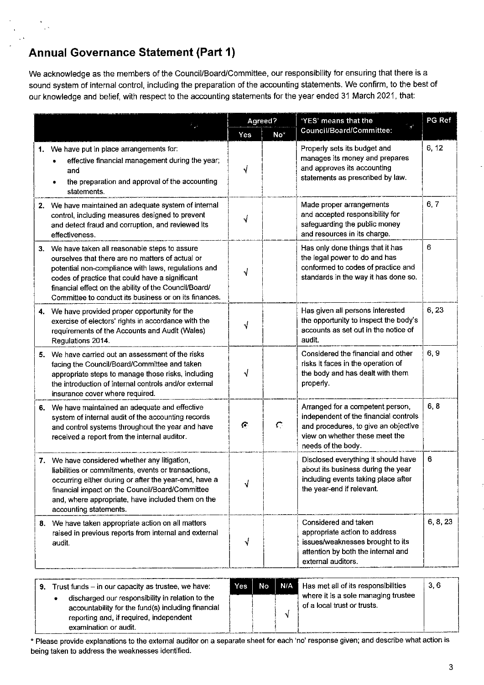# **Annual Governance Statement (Part 1)**

We acknowledge as the members of the Council/Board/Committee, our responsibility for ensuring that there is a sound system of internal control, including the preparation of the accounting statements. We confirm, to the best of our knowledge and belief, with respect to the accounting statements for the year ended 31 March 2021, that:

|    |                                                                                                                                                                                                                                                                                                                                 |     | Agreed?       | 'YES' means that the                                                                                                                                                      | PG Ref   |
|----|---------------------------------------------------------------------------------------------------------------------------------------------------------------------------------------------------------------------------------------------------------------------------------------------------------------------------------|-----|---------------|---------------------------------------------------------------------------------------------------------------------------------------------------------------------------|----------|
|    |                                                                                                                                                                                                                                                                                                                                 | Yes | No*           | Council/Board/Committee:                                                                                                                                                  |          |
|    | 1. We have put in place arrangements for:<br>effective financial management during the year;<br>and<br>the preparation and approval of the accounting<br>statements.                                                                                                                                                            | √   |               | Properly sets its budget and<br>manages its money and prepares<br>and approves its accounting<br>statements as prescribed by law.                                         | 6, 12    |
|    | 2. We have maintained an adequate system of internal<br>control, including measures designed to prevent<br>and detect fraud and corruption, and reviewed its<br>effectiveness.                                                                                                                                                  | √   |               | Made proper arrangements<br>and accepted responsibility for<br>safeguarding the public money<br>and resources in its charge.                                              | 6, 7     |
|    | 3. We have taken all reasonable steps to assure<br>ourselves that there are no matters of actual or<br>potential non-compliance with laws, regulations and<br>codes of practice that could have a significant<br>financial effect on the ability of the Council/Board/<br>Committee to conduct its business or on its finances. | √   |               | Has only done things that it has<br>the legal power to do and has<br>conformed to codes of practice and<br>standards in the way it has done so.                           | 6        |
|    | 4. We have provided proper opportunity for the<br>exercise of electors' rights in accordance with the<br>requirements of the Accounts and Audit (Wales)<br>Regulations 2014.                                                                                                                                                    | √   |               | Has given all persons interested<br>the opportunity to inspect the body's<br>accounts as set out in the notice of<br>audit.                                               | 6,23     |
| 5. | We have carried out an assessment of the risks<br>facing the Council/Board/Committee and taken<br>appropriate steps to manage those risks, including<br>the introduction of internal controls and/or external<br>insurance cover where required.                                                                                | √   |               | Considered the financial and other<br>risks it faces in the operation of<br>the body and has dealt with them<br>properly.                                                 | 6, 9     |
|    | 6. We have maintained an adequate and effective<br>system of internal audit of the accounting records<br>and control systems throughout the year and have<br>received a report from the internal auditor.                                                                                                                       | G.  | $\mathcal{C}$ | Arranged for a competent person,<br>independent of the financial controls<br>and procedures, to give an objective<br>view on whether these meet the<br>needs of the body. | 6, 8     |
|    | 7. We have considered whether any litigation,<br>liabilities or commitments, events or transactions,<br>occurring either during or after the year-end, have a<br>financial impact on the Council/Board/Committee<br>and, where appropriate, have included them on the<br>accounting statements.                                 | √   |               | Disclosed everything it should have<br>about its business during the year<br>including events taking place after<br>the year-end if relevant.                             | 6        |
|    | 8. We have taken appropriate action on all matters<br>raised in previous reports from internal and external<br>audit.                                                                                                                                                                                                           | √   |               | Considered and taken<br>appropriate action to address<br>issues/weaknesses brought to its<br>attention by both the internal and<br>external auditors.                     | 6, 8, 23 |
|    | 9. Trust funds $-$ in our capacity as trustee, we have:                                                                                                                                                                                                                                                                         | Yes | N/A<br>No     | Has met all of its responsibilities                                                                                                                                       | 3,6      |

| $\sim$ $\sim$ | The Change Through Capacity as the color the matter. |  |
|---------------|------------------------------------------------------|--|
|               | discharged our responsibility in relation to the     |  |
|               | accountability for the fund(s) including financial   |  |
|               | reporting and, if required, independent              |  |
|               | examination or audit.                                |  |

where it is a sole managing trustee of a local trust or trusts.  $\sqrt{ }$ 

\* Please provide explanations to the external auditor on a separate sheet for each 'no' response given; and describe what action is being taken to address the weaknesses identified.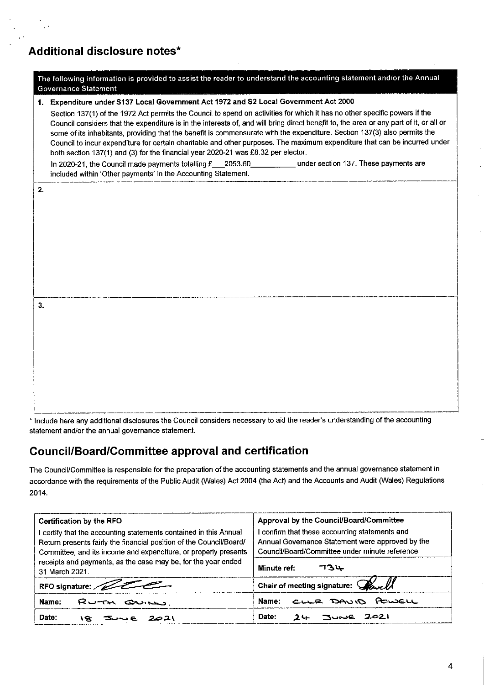### Additional disclosure notes\*

|    | Governance Statement                                                                                                                                                                                                                                                                                                                                                                                                                                                                                                                                                                                                 |
|----|----------------------------------------------------------------------------------------------------------------------------------------------------------------------------------------------------------------------------------------------------------------------------------------------------------------------------------------------------------------------------------------------------------------------------------------------------------------------------------------------------------------------------------------------------------------------------------------------------------------------|
|    | 1. Expenditure under S137 Local Government Act 1972 and S2 Local Government Act 2000                                                                                                                                                                                                                                                                                                                                                                                                                                                                                                                                 |
|    | Section 137(1) of the 1972 Act permits the Council to spend on activities for which it has no other specific powers if the<br>Council considers that the expenditure is in the interests of, and will bring direct benefit to, the area or any part of it, or all or<br>some of its inhabitants, providing that the benefit is commensurate with the expenditure. Section 137(3) also permits the<br>Council to incur expenditure for certain charitable and other purposes. The maximum expenditure that can be incurred under<br>both section 137(1) and (3) for the financial year 2020-21 was £8.32 per elector. |
|    | In 2020-21, the Council made payments totalling £__2053.60 under section 137. These payments are<br>included within 'Other payments' in the Accounting Statement.                                                                                                                                                                                                                                                                                                                                                                                                                                                    |
| 2. |                                                                                                                                                                                                                                                                                                                                                                                                                                                                                                                                                                                                                      |
|    |                                                                                                                                                                                                                                                                                                                                                                                                                                                                                                                                                                                                                      |
|    |                                                                                                                                                                                                                                                                                                                                                                                                                                                                                                                                                                                                                      |
|    |                                                                                                                                                                                                                                                                                                                                                                                                                                                                                                                                                                                                                      |
|    |                                                                                                                                                                                                                                                                                                                                                                                                                                                                                                                                                                                                                      |
| 3. |                                                                                                                                                                                                                                                                                                                                                                                                                                                                                                                                                                                                                      |
|    |                                                                                                                                                                                                                                                                                                                                                                                                                                                                                                                                                                                                                      |
|    |                                                                                                                                                                                                                                                                                                                                                                                                                                                                                                                                                                                                                      |
|    |                                                                                                                                                                                                                                                                                                                                                                                                                                                                                                                                                                                                                      |
|    |                                                                                                                                                                                                                                                                                                                                                                                                                                                                                                                                                                                                                      |
|    |                                                                                                                                                                                                                                                                                                                                                                                                                                                                                                                                                                                                                      |
|    |                                                                                                                                                                                                                                                                                                                                                                                                                                                                                                                                                                                                                      |

The following information is provided to assist the reader to understand the accounting statement and/or the Annual

\* Include here any additional disclosures the Council considers necessary to aid the reader's understanding of the accounting statement and/or the annual governance statement.

### **Council/Board/Committee approval and certification**

The Council/Committee is responsible for the preparation of the accounting statements and the annual governance statement in accordance with the requirements of the Public Audit (Wales) Act 2004 (the Act) and the Accounts and Audit (Wales) Regulations 2014.

| Certification by the RFO                                            | Approval by the Council/Board/Committee          |  |  |  |
|---------------------------------------------------------------------|--------------------------------------------------|--|--|--|
| certify that the accounting statements contained in this Annual     | confirm that these accounting statements and     |  |  |  |
| Return presents fairly the financial position of the Council/Board/ | Annual Governance Statement were approved by the |  |  |  |
| Committee, and its income and expenditure, or properly presents     | Council/Board/Committee under minute reference:  |  |  |  |
| receipts and payments, as the case may be, for the year ended       | 734                                              |  |  |  |
| 31 March 2021.                                                      | Minute ref:                                      |  |  |  |
| RFO signature:                                                      | Chair of meeting signature: Wavell               |  |  |  |
| Name:                                                               | CLLR DAVID POWELL                                |  |  |  |
| RUTH QUINN                                                          | Name:                                            |  |  |  |
| Date:                                                               | Date:                                            |  |  |  |
| 18.                                                                 | <b>TUNE 2021</b>                                 |  |  |  |
| 2021                                                                | $2 -$                                            |  |  |  |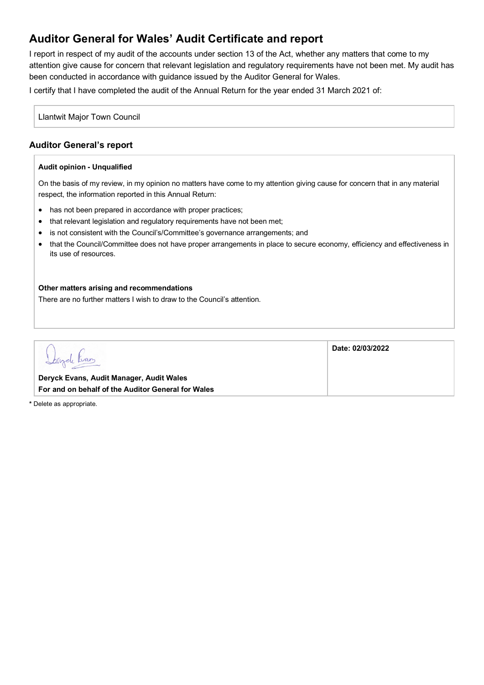## **Auditor General for Wales' Audit Certificate and report**

I report in respect of my audit of the accounts under section 13 of the Act, whether any matters that come to my attention give cause for concern that relevant legislation and regulatory requirements have not been met. My audit has been conducted in accordance with guidance issued by the Auditor General for Wales.

I certify that I have completed the audit of the Annual Return for the year ended 31 March 2021 of:

Llantwit Major Town Council

### **Auditor General's report**

#### **Audit opinion - Unqualified**

On the basis of my review, in my opinion no matters have come to my attention giving cause for concern that in any material respect, the information reported in this Annual Return:

- has not been prepared in accordance with proper practices;
- that relevant legislation and regulatory reguirements have not been met;
- is not consistent with the Council's/Committee's governance arrangements; and
- that the Council/Committee does not have proper arrangements in place to secure economy, efficiency and effectiveness in its use of resources.

**Date: 02/03/2022**

#### **Other matters arising and recommendations**

There are no further matters I wish to draw to the Council's attention.

bryde trans

**Deryck Evans, Audit Manager, Audit Wales For and on behalf of the Auditor General for Wales**

**\*** Delete as appropriate.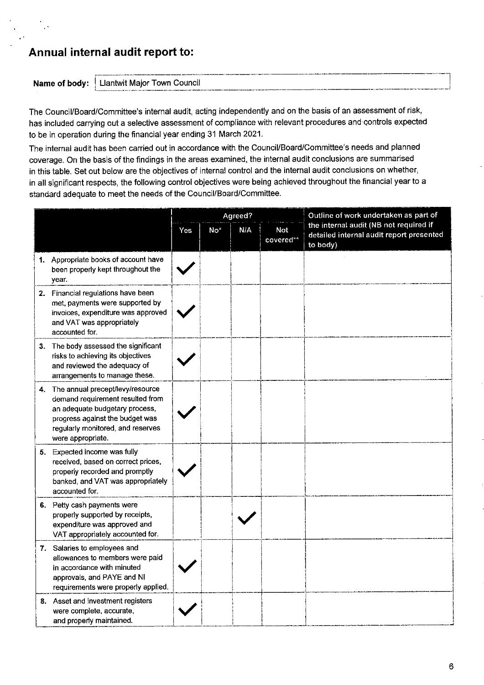### Annual internal audit report to:

Name of body:

Llantwit Major Town Council

The Council/Board/Committee's internal audit, acting independently and on the basis of an assessment of risk, has included carrying out a selective assessment of compliance with relevant procedures and controls expected to be in operation during the financial year ending 31 March 2021.

The internal audit has been carried out in accordance with the Council/Board/Committee's needs and planned coverage. On the basis of the findings in the areas examined, the internal audit conclusions are summarised in this table. Set out below are the objectives of internal control and the internal audit conclusions on whether, in all significant respects, the following control objectives were being achieved throughout the financial year to a standard adequate to meet the needs of the Council/Board/Committee.

|                                                                                                                                                                                                        | Agreed? |                 |                                |  | Outline of work undertaken as part of<br>the internal audit (NB not required if<br>detailed internal audit report presented<br>to body) |  |
|--------------------------------------------------------------------------------------------------------------------------------------------------------------------------------------------------------|---------|-----------------|--------------------------------|--|-----------------------------------------------------------------------------------------------------------------------------------------|--|
|                                                                                                                                                                                                        |         | No <sup>*</sup> | N/A<br><b>Not</b><br>covered** |  |                                                                                                                                         |  |
| 1. Appropriate books of account have<br>been properly kept throughout the<br>year.                                                                                                                     |         |                 |                                |  |                                                                                                                                         |  |
| 2. Financial regulations have been<br>met, payments were supported by<br>invoices, expenditure was approved<br>and VAT was appropriately<br>accounted for.                                             |         |                 |                                |  |                                                                                                                                         |  |
| 3. The body assessed the significant<br>risks to achieving its objectives<br>and reviewed the adequacy of<br>arrangements to manage these.                                                             |         |                 |                                |  |                                                                                                                                         |  |
| 4. The annual precept/levy/resource<br>demand requirement resulted from<br>an adequate budgetary process,<br>progress against the budget was<br>regularly monitored, and reserves<br>were appropriate. |         |                 |                                |  |                                                                                                                                         |  |
| 5. Expected income was fully<br>received, based on correct prices,<br>properly recorded and promptly<br>banked, and VAT was appropriately<br>accounted for.                                            |         |                 |                                |  |                                                                                                                                         |  |
| 6. Petty cash payments were<br>properly supported by receipts,<br>expenditure was approved and<br>VAT appropriately accounted for.                                                                     |         |                 |                                |  |                                                                                                                                         |  |
| 7. Salaries to employees and<br>allowances to members were paid<br>in accordance with minuted<br>approvals, and PAYE and NI<br>requirements were properly applied.                                     |         |                 |                                |  |                                                                                                                                         |  |
| 8. Asset and investment registers<br>were complete, accurate,<br>and properly maintained.                                                                                                              |         |                 |                                |  |                                                                                                                                         |  |